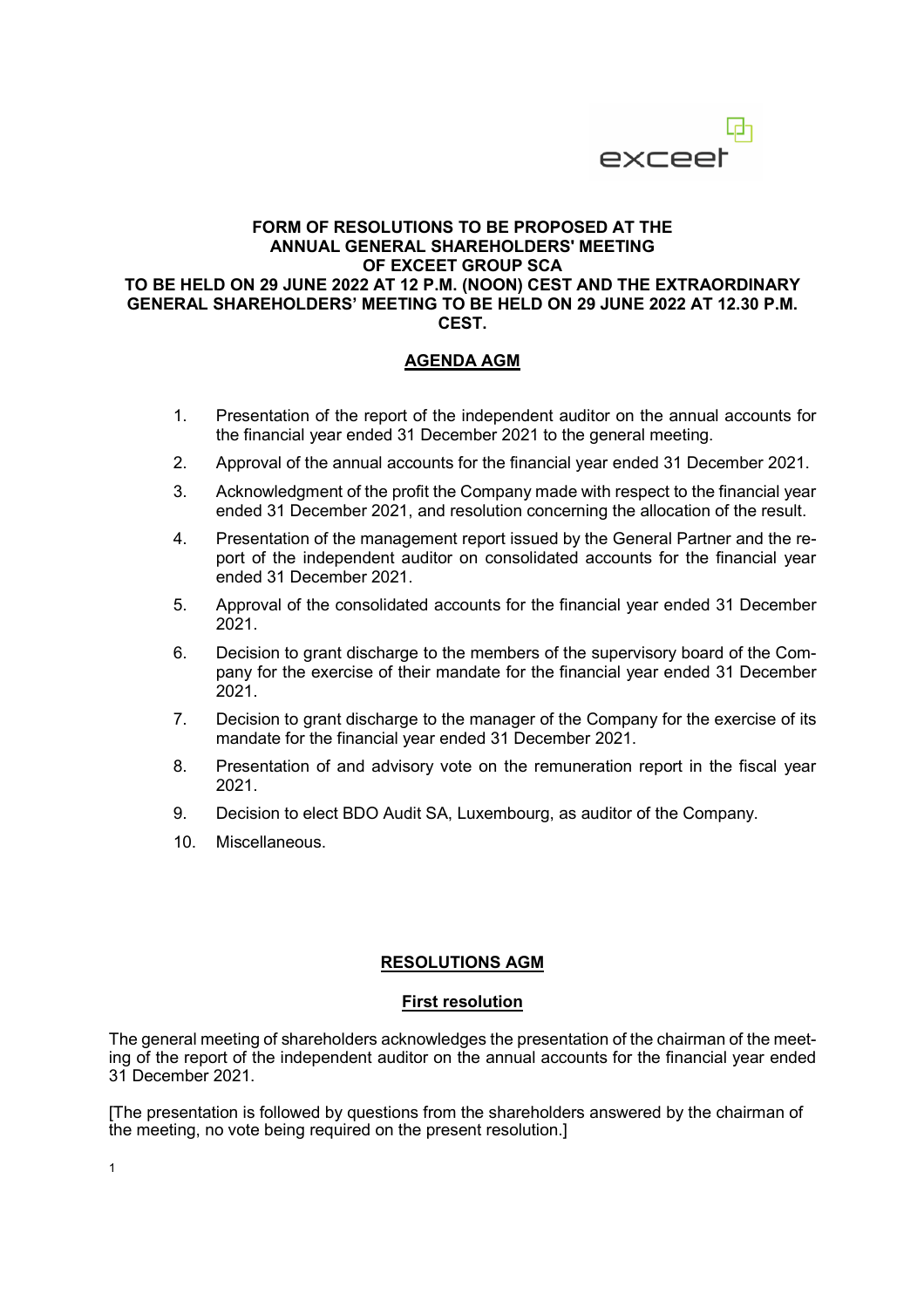

#### **FORM OF RESOLUTIONS TO BE PROPOSED AT THE ANNUAL GENERAL SHAREHOLDERS' MEETING OF EXCEET GROUP SCA TO BE HELD ON 29 JUNE 2022 AT 12 P.M. (NOON) CEST AND THE EXTRAORDINARY GENERAL SHAREHOLDERS' MEETING TO BE HELD ON 29 JUNE 2022 AT 12.30 P.M. CEST.**

### **AGENDA AGM**

- 1. Presentation of the report of the independent auditor on the annual accounts for the financial year ended 31 December 2021 to the general meeting.
- 2. Approval of the annual accounts for the financial year ended 31 December 2021.
- 3. Acknowledgment of the profit the Company made with respect to the financial year ended 31 December 2021, and resolution concerning the allocation of the result.
- 4. Presentation of the management report issued by the General Partner and the report of the independent auditor on consolidated accounts for the financial year ended 31 December 2021.
- 5. Approval of the consolidated accounts for the financial year ended 31 December 2021.
- 6. Decision to grant discharge to the members of the supervisory board of the Company for the exercise of their mandate for the financial year ended 31 December 2021.
- 7. Decision to grant discharge to the manager of the Company for the exercise of its mandate for the financial year ended 31 December 2021.
- 8. Presentation of and advisory vote on the remuneration report in the fiscal year 2021.
- 9. Decision to elect BDO Audit SA, Luxembourg, as auditor of the Company.
- 10. Miscellaneous.

### **RESOLUTIONS AGM**

#### **First resolution**

The general meeting of shareholders acknowledges the presentation of the chairman of the meeting of the report of the independent auditor on the annual accounts for the financial year ended 31 December 2021.

[The presentation is followed by questions from the shareholders answered by the chairman of the meeting, no vote being required on the present resolution.]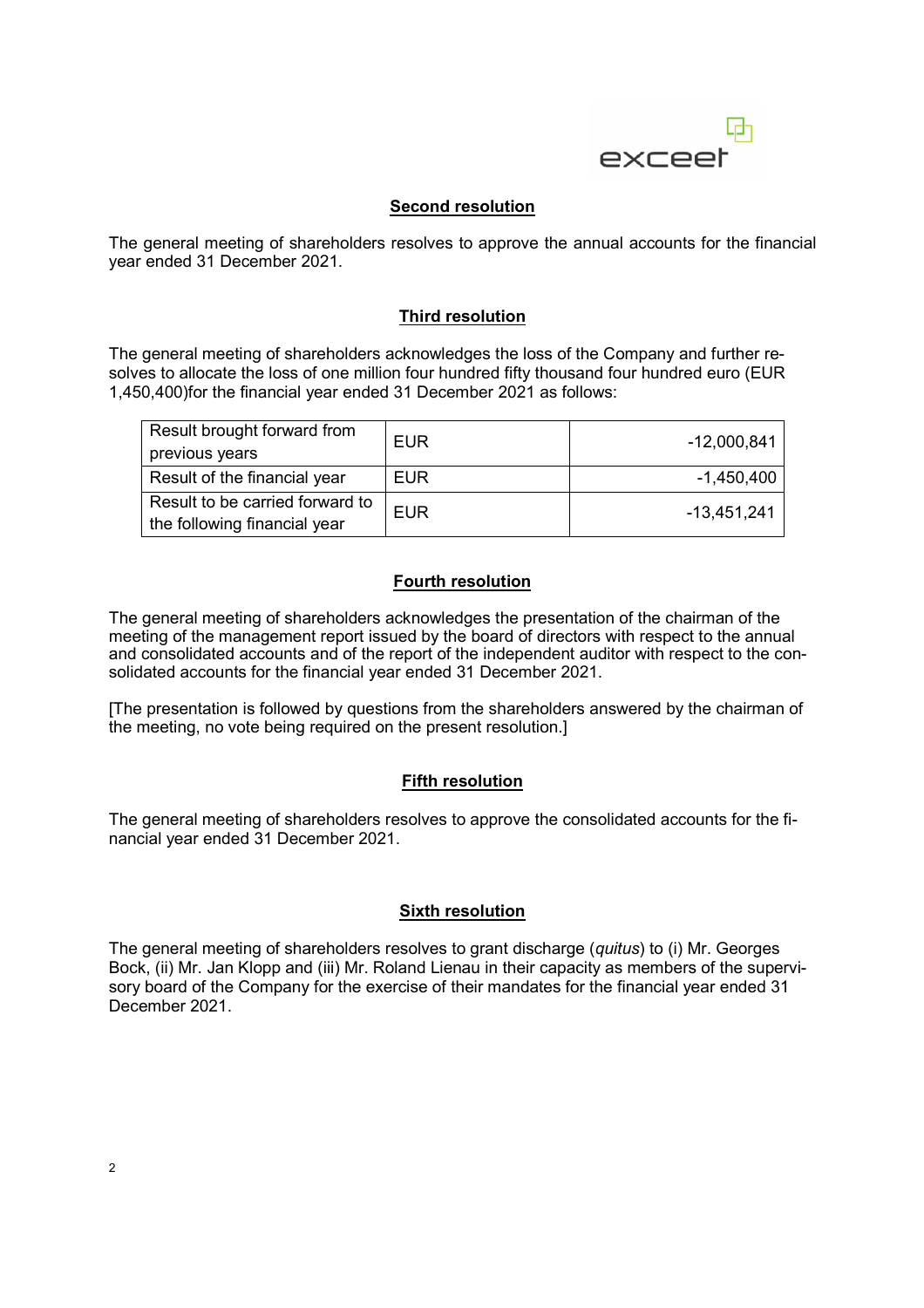

## **Second resolution**

The general meeting of shareholders resolves to approve the annual accounts for the financial year ended 31 December 2021.

#### **Third resolution**

The general meeting of shareholders acknowledges the loss of the Company and further resolves to allocate the loss of one million four hundred fifty thousand four hundred euro (EUR 1,450,400)for the financial year ended 31 December 2021 as follows:

| Result brought forward from     | <b>EUR</b> | $-12,000,841$ |
|---------------------------------|------------|---------------|
| previous years                  |            |               |
| Result of the financial year    | <b>EUR</b> | $-1,450,400$  |
| Result to be carried forward to | <b>EUR</b> | -13,451,241   |
| the following financial year    |            |               |

## **Fourth resolution**

The general meeting of shareholders acknowledges the presentation of the chairman of the meeting of the management report issued by the board of directors with respect to the annual and consolidated accounts and of the report of the independent auditor with respect to the consolidated accounts for the financial year ended 31 December 2021.

[The presentation is followed by questions from the shareholders answered by the chairman of the meeting, no vote being required on the present resolution.]

#### **Fifth resolution**

The general meeting of shareholders resolves to approve the consolidated accounts for the financial year ended 31 December 2021.

### **Sixth resolution**

The general meeting of shareholders resolves to grant discharge (*quitus*) to (i) Mr. Georges Bock, (ii) Mr. Jan Klopp and (iii) Mr. Roland Lienau in their capacity as members of the supervisory board of the Company for the exercise of their mandates for the financial year ended 31 December 2021.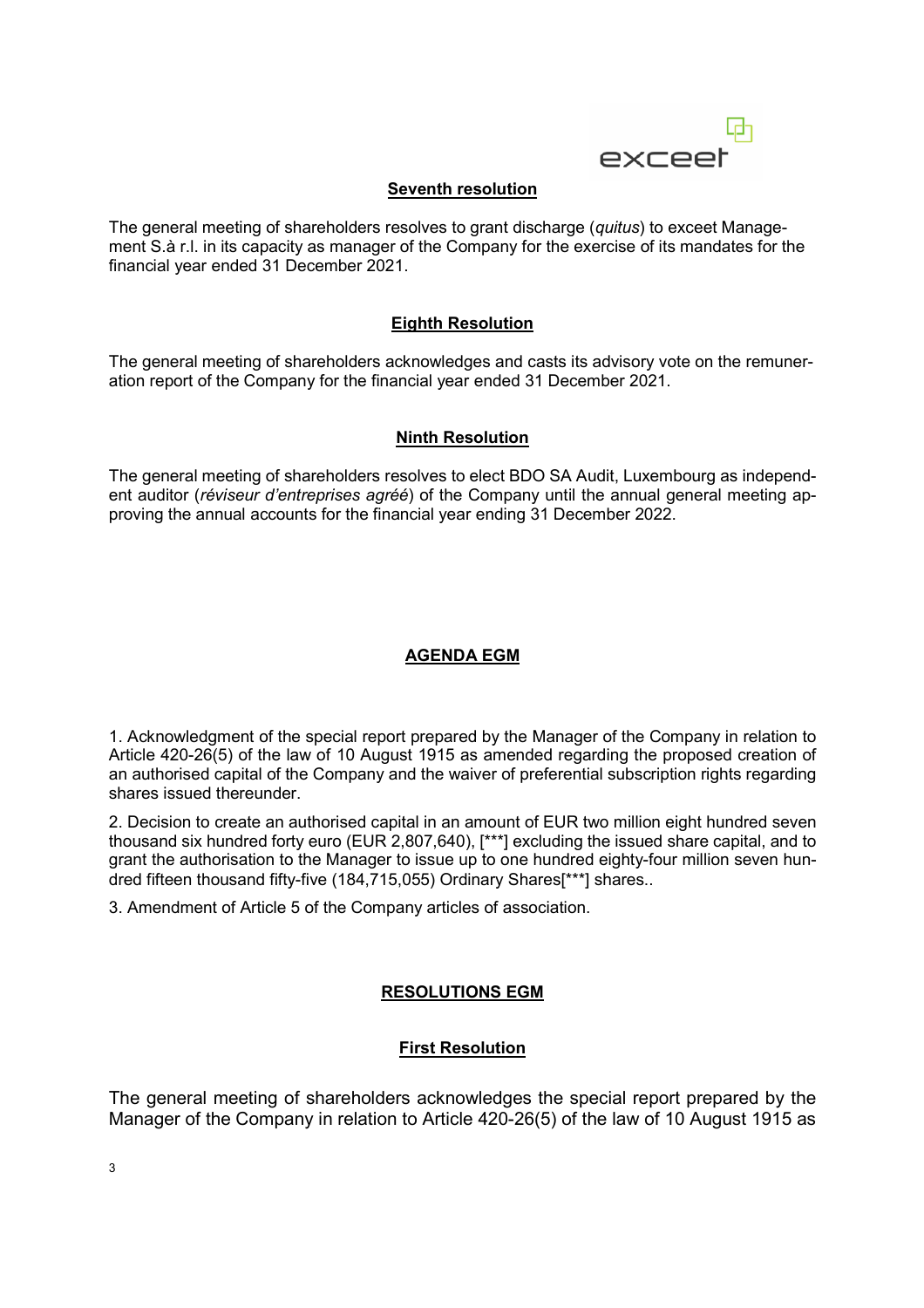

# **Seventh resolution**

The general meeting of shareholders resolves to grant discharge (*quitus*) to exceet Management S.à r.l. in its capacity as manager of the Company for the exercise of its mandates for the financial year ended 31 December 2021.

# **Eighth Resolution**

The general meeting of shareholders acknowledges and casts its advisory vote on the remuneration report of the Company for the financial year ended 31 December 2021.

### **Ninth Resolution**

The general meeting of shareholders resolves to elect BDO SA Audit, Luxembourg as independent auditor (*réviseur d'entreprises agréé*) of the Company until the annual general meeting approving the annual accounts for the financial year ending 31 December 2022.

# **AGENDA EGM**

1. Acknowledgment of the special report prepared by the Manager of the Company in relation to Article 420-26(5) of the law of 10 August 1915 as amended regarding the proposed creation of an authorised capital of the Company and the waiver of preferential subscription rights regarding shares issued thereunder.

2. Decision to create an authorised capital in an amount of EUR two million eight hundred seven thousand six hundred forty euro (EUR 2,807,640), [\*\*\*] excluding the issued share capital, and to grant the authorisation to the Manager to issue up to one hundred eighty-four million seven hundred fifteen thousand fifty-five (184,715,055) Ordinary Shares[\*\*\*] shares..

3. Amendment of Article 5 of the Company articles of association.

# **RESOLUTIONS EGM**

# **First Resolution**

The general meeting of shareholders acknowledges the special report prepared by the Manager of the Company in relation to Article 420-26(5) of the law of 10 August 1915 as